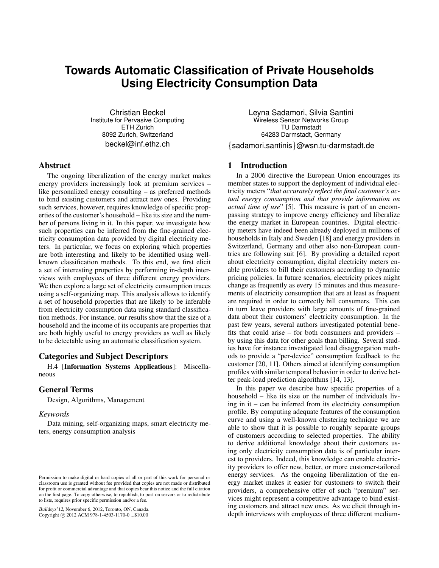# **Towards Automatic Classification of Private Households Using Electricity Consumption Data**

Christian Beckel Institute for Pervasive Computing ETH Zurich 8092 Zurich, Switzerland beckel@inf.ethz.ch

#### Abstract

The ongoing liberalization of the energy market makes energy providers increasingly look at premium services – like personalized energy consulting – as preferred methods to bind existing customers and attract new ones. Providing such services, however, requires knowledge of specific properties of the customer's household – like its size and the number of persons living in it. In this paper, we investigate how such properties can be inferred from the fine-grained electricity consumption data provided by digital electricity meters. In particular, we focus on exploring which properties are both interesting and likely to be identified using wellknown classification methods. To this end, we first elicit a set of interesting properties by performing in-depth interviews with employees of three different energy providers. We then explore a large set of electricity consumption traces using a self-organizing map. This analysis allows to identify a set of household properties that are likely to be inferable from electricity consumption data using standard classification methods. For instance, our results show that the size of a household and the income of its occupants are properties that are both highly useful to energy providers as well as likely to be detectable using an automatic classification system.

## Categories and Subject Descriptors

H.4 [Information Systems Applications]: Miscellaneous

## General Terms

Design, Algorithms, Management

### *Keywords*

Data mining, self-organizing maps, smart electricity meters, energy consumption analysis

Buildsys'12, November 6, 2012, Toronto, ON, Canada. Copyright © 2012 ACM 978-1-4503-1170-0 ...\$10.00 Leyna Sadamori, Silvia Santini Wireless Sensor Networks Group TU Darmstadt 64283 Darmstadt, Germany

{sadamori,santinis}@wsn.tu-darmstadt.de

# 1 Introduction

In a 2006 directive the European Union encourages its member states to support the deployment of individual electricity meters "*that accurately reflect the final customer's actual energy consumption and that provide information on actual time of use*" [5]. This measure is part of an encompassing strategy to improve energy efficiency and liberalize the energy market in European countries. Digital electricity meters have indeed been already deployed in millions of households in Italy and Sweden [18] and energy providers in Switzerland, Germany and other also non-European countries are following suit [6]. By providing a detailed report about electricity consumption, digital electricity meters enable providers to bill their customers according to dynamic pricing policies. In future scenarios, electricity prices might change as frequently as every 15 minutes and thus measurements of electricity consumption that are at least as frequent are required in order to correctly bill consumers. This can in turn leave providers with large amounts of fine-grained data about their customers' electricity consumption. In the past few years, several authors investigated potential benefits that could arise – for both consumers and providers – by using this data for other goals than billing. Several studies have for instance investigated load disaggregation methods to provide a "per-device" consumption feedback to the customer [20, 11]. Others aimed at identifying consumption profiles with similar temporal behavior in order to derive better peak-load prediction algorithms [14, 13].

In this paper we describe how specific properties of a household – like its size or the number of individuals living in it – can be inferred from its electricity consumption profile. By computing adequate features of the consumption curve and using a well-known clustering technique we are able to show that it is possible to roughly separate groups of customers according to selected properties. The ability to derive additional knowledge about their customers using only electricity consumption data is of particular interest to providers. Indeed, this knowledge can enable electricity providers to offer new, better, or more customer-tailored energy services. As the ongoing liberalization of the energy market makes it easier for customers to switch their providers, a comprehensive offer of such "premium" services might represent a competitive advantage to bind existing customers and attract new ones. As we elicit through indepth interviews with employees of three different medium-

Permission to make digital or hard copies of all or part of this work for personal or classroom use is granted without fee provided that copies are not made or distributed for profit or commercial advantage and that copies bear this notice and the full citation on the first page. To copy otherwise, to republish, to post on servers or to redistribute to lists, requires prior specific permission and/or a fee.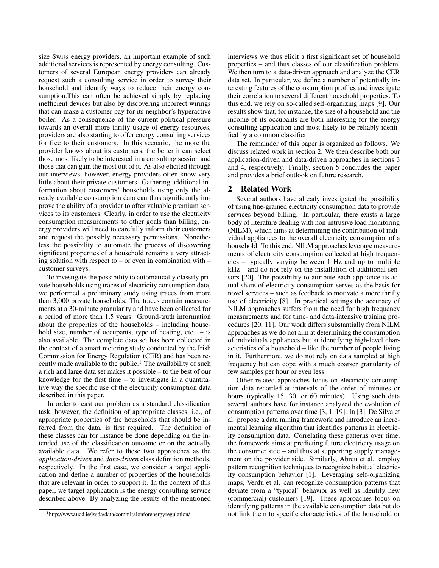size Swiss energy providers, an important example of such additional services is represented by energy consulting. Customers of several European energy providers can already request such a consulting service in order to survey their household and identify ways to reduce their energy consumption.This can often be achieved simply by replacing inefficient devices but also by discovering incorrect wirings that can make a customer pay for its neighbor's hyperactive boiler. As a consequence of the current political pressure towards an overall more thrifty usage of energy resources, providers are also starting to offer energy consulting services for free to their customers. In this scenario, the more the provider knows about its customers, the better it can select those most likely to be interested in a consulting session and those that can gain the most out of it. As also elicited through our interviews, however, energy providers often know very little about their private customers. Gathering additional information about customers' households using only the already available consumption data can thus significantly improve the ability of a provider to offer valuable premium services to its customers. Clearly, in order to use the electricity consumption measurements to other goals than billing, energy providers will need to carefully inform their customers and request the possibly necessary permissions. Nonetheless the possibility to automate the process of discovering significant properties of a household remains a very attracting solution with respect to  $-$  or even in combination with  $$ customer surveys.

To investigate the possibility to automatically classify private households using traces of electricity consumption data, we performed a preliminary study using traces from more than 3,000 private households. The traces contain measurements at a 30-minute granularity and have been collected for a period of more than 1.5 years. Ground-truth information about the properties of the households – including household size, number of occupants, type of heating, etc.  $-$  is also available. The complete data set has been collected in the context of a smart metering study conducted by the Irish Commission for Energy Regulation (CER) and has been recently made available to the public.<sup>1</sup> The availability of such a rich and large data set makes it possible – to the best of our knowledge for the first time – to investigate in a quantitative way the specific use of the electricity consumption data described in this paper.

In order to cast our problem as a standard classification task, however, the definition of appropriate classes, i.e., of appropriate properties of the households that should be inferred from the data, is first required. The definition of these classes can for instance be done depending on the intended use of the classification outcome or on the actually available data. We refer to these two approaches as the *application-driven* and *data-driven* class definition methods, respectively. In the first case, we consider a target application and define a number of properties of the households that are relevant in order to support it. In the context of this paper, we target application is the energy consulting service described above. By analyzing the results of the mentioned

interviews we thus elicit a first significant set of household properties – and thus classes of our classification problem. We then turn to a data-driven approach and analyze the CER data set. In particular, we define a number of potentially interesting features of the consumption profiles and investigate their correlation to several different household properties. To this end, we rely on so-called self-organizing maps [9]. Our results show that, for instance, the size of a household and the income of its occupants are both interesting for the energy consulting application and most likely to be reliably identified by a common classifier.

The remainder of this paper is organized as follows. We discuss related work in section 2. We then describe both our application-driven and data-driven approaches in sections 3 and 4, respectively. Finally, section 5 concludes the paper and provides a brief outlook on future research.

#### 2 Related Work

Several authors have already investigated the possibility of using fine-grained electricity consumption data to provide services beyond billing. In particular, there exists a large body of literature dealing with non-intrusive load monitoring (NILM), which aims at determining the contribution of individual appliances to the overall electricity consumption of a household. To this end, NILM approaches leverage measurements of electricity consumption collected at high frequencies – typically varying between 1 Hz and up to multiple kHz – and do not rely on the installation of additional sensors [20]. The possibility to attribute each appliance its actual share of electricity consumption serves as the basis for novel services – such as feedback to motivate a more thrifty use of electricity [8]. In practical settings the accuracy of NILM approaches suffers from the need for high frequency measurements and for time- and data-intensive training procedures [20, 11]. Our work differs substantially from NILM approaches as we do not aim at determining the consumption of individuals appliances but at identifying high-level characteristics of a household – like the number of people living in it. Furthermore, we do not rely on data sampled at high frequency but can cope with a much coarser granularity of few samples per hour or even less.

Other related approaches focus on electricity consumption data recorded at intervals of the order of minutes or hours (typically 15, 30, or 60 minutes). Using such data several authors have for instance analyzed the evolution of consumption patterns over time [3, 1, 19]. In [3], De Silva et al. propose a data mining framework and introduce an incremental learning algorithm that identifies patterns in electricity consumption data. Correlating these patterns over time, the framework aims at predicting future electricity usage on the consumer side – and thus at supporting supply management on the provider side. Similarly, Abreu et al. employ pattern recognition techniques to recognize habitual electricity consumption behavior [1]. Leveraging self-organizing maps, Verdu et al. can recognize consumption patterns that deviate from a "typical" behavior as well as identify new (commercial) customers [19]. These approaches focus on identifying patterns in the available consumption data but do not link them to specific characteristics of the household or

<sup>&</sup>lt;sup>1</sup>http://www.ucd.ie/issda/data/commissionforenergyregulation/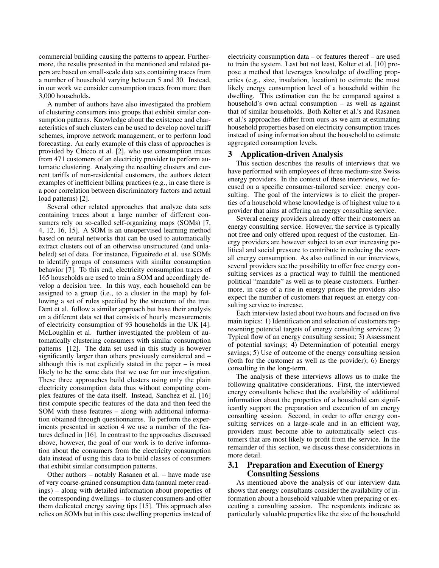commercial building causing the patterns to appear. Furthermore, the results presented in the mentioned and related papers are based on small-scale data sets containing traces from a number of household varying between 5 and 30. Instead, in our work we consider consumption traces from more than 3,000 households.

A number of authors have also investigated the problem of clustering consumers into groups that exhibit similar consumption patterns. Knowledge about the existence and characteristics of such clusters can be used to develop novel tariff schemes, improve network management, or to perform load forecasting. An early example of this class of approaches is provided by Chicco et al. [2], who use consumption traces from 471 customers of an electricity provider to perform automatic clustering. Analyzing the resulting clusters and current tariffs of non-residential customers, the authors detect examples of inefficient billing practices (e.g., in case there is a poor correlation between discriminatory factors and actual load patterns) [2].

Several other related approaches that analyze data sets containing traces about a large number of different consumers rely on so-called self-organizing maps (SOMs) [7, 4, 12, 16, 15]. A SOM is an unsupervised learning method based on neural networks that can be used to automatically extract clusters out of an otherwise unstructured (and unlabeled) set of data. For instance, Figueiredo et al. use SOMs to identify groups of consumers with similar consumption behavior [7]. To this end, electricity consumption traces of 165 households are used to train a SOM and accordingly develop a decision tree. In this way, each household can be assigned to a group (i.e., to a cluster in the map) by following a set of rules specified by the structure of the tree. Dent et al. follow a similar approach but base their analysis on a different data set that consists of hourly measurements of electricity consumption of 93 households in the UK [4]. McLoughlin et al. further investigated the problem of automatically clustering consumers with similar consumption patterns [12]. The data set used in this study is however significantly larger than others previously considered and – although this is not explicitly stated in the paper – is most likely to be the same data that we use for our investigation. These three approaches build clusters using only the plain electricity consumption data thus without computing complex features of the data itself. Instead, Sanchez et al. [16] first compute specific features of the data and then feed the SOM with these features – along with additional information obtained through questionnaires. To perform the experiments presented in section 4 we use a number of the features defined in [16]. In contrast to the approaches discussed above, however, the goal of our work is to derive information about the consumers from the electricity consumption data instead of using this data to build classes of consumers that exhibit similar consumption patterns.

Other authors – notably Rasanen et al. – have made use of very coarse-grained consumption data (annual meter readings) – along with detailed information about properties of the corresponding dwellings – to cluster consumers and offer them dedicated energy saving tips [15]. This approach also relies on SOMs but in this case dwelling properties instead of

electricity consumption data – or features thereof – are used to train the system. Last but not least, Kolter et al. [10] propose a method that leverages knowledge of dwelling properties (e.g., size, insulation, location) to estimate the most likely energy consumption level of a household within the dwelling. This estimation can the be compared against a household's own actual consumption – as well as against that of similar households. Both Kolter et al.'s and Rasanen et al.'s approaches differ from ours as we aim at estimating household properties based on electricity consumption traces instead of using information about the household to estimate aggregated consumption levels.

## 3 Application-driven Analysis

This section describes the results of interviews that we have performed with employees of three medium-size Swiss energy providers. In the context of these interviews, we focused on a specific consumer-tailored service: energy consulting. The goal of the interviews is to elicit the properties of a household whose knowledge is of highest value to a provider that aims at offering an energy consulting service.

Several energy providers already offer their customers an energy consulting service. However, the service is typically not free and only offered upon request of the customer. Energy providers are however subject to an ever increasing political and social pressure to contribute in reducing the overall energy consumption. As also outlined in our interviews, several providers see the possibility to offer free energy consulting services as a practical way to fulfill the mentioned political "mandate" as well as to please customers. Furthermore, in case of a rise in energy prices the providers also expect the number of customers that request an energy consulting service to increase.

Each interview lasted about two hours and focused on five main topics: 1) Identification and selection of customers representing potential targets of energy consulting services; 2) Typical flow of an energy consulting session; 3) Assessment of potential savings; 4) Determination of potential energy savings; 5) Use of outcome of the energy consulting session (both for the customer as well as the provider); 6) Energy consulting in the long-term.

The analysis of these interviews allows us to make the following qualitative considerations. First, the interviewed energy consultants believe that the availability of additional information about the properties of a household can significantly support the preparation and execution of an energy consulting session. Second, in order to offer energy consulting services on a large-scale and in an efficient way, providers must become able to automatically select customers that are most likely to profit from the service. In the remainder of this section, we discuss these considerations in more detail.

# 3.1 Preparation and Execution of Energy Consulting Sessions

As mentioned above the analysis of our interview data shows that energy consultants consider the availability of information about a household valuable when preparing or executing a consulting session. The respondents indicate as particularly valuable properties like the size of the household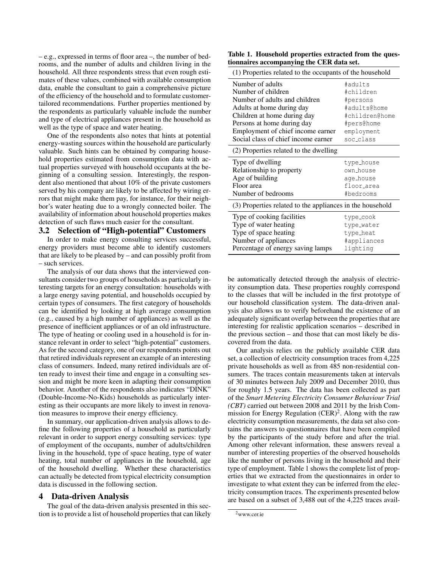– e.g., expressed in terms of floor area –, the number of bedrooms, and the number of adults and children living in the household. All three respondents stress that even rough estimates of these values, combined with available consumption data, enable the consultant to gain a comprehensive picture of the efficiency of the household and to formulate customertailored recommendations. Further properties mentioned by the respondents as particularly valuable include the number and type of electrical appliances present in the household as well as the type of space and water heating.

One of the respondents also notes that hints at potential energy-wasting sources within the household are particularly valuable. Such hints can be obtained by comparing household properties estimated from consumption data with actual properties surveyed with household occupants at the beginning of a consulting session. Interestingly, the respondent also mentioned that about 10% of the private customers served by his company are likely to be affected by wiring errors that might make them pay, for instance, for their neighbor's water heating due to a wrongly connected boiler. The availability of information about household properties makes detection of such flaws much easier for the consultant.

## 3.2 Selection of "High-potential" Customers

In order to make energy consulting services successful, energy providers must become able to identify customers that are likely to be pleased by – and can possibly profit from – such services.

The analysis of our data shows that the interviewed consultants consider two groups of households as particularly interesting targets for an energy consultation: households with a large energy saving potential, and households occupied by certain types of consumers. The first category of households can be identified by looking at high average consumption (e.g., caused by a high number of appliances) as well as the presence of inefficient appliances or of an old infrastructure. The type of heating or cooling used in a household is for instance relevant in order to select "high-potential" customers. As for the second category, one of our respondents points out that retired individuals represent an example of an interesting class of consumers. Indeed, many retired individuals are often ready to invest their time and engage in a consulting session and might be more keen in adapting their consumption behavior. Another of the respondents also indicates "DINK" (Double-Income-No-Kids) households as particularly interesting as their occupants are more likely to invest in renovation measures to improve their energy efficiency.

In summary, our application-driven analysis allows to define the following properties of a household as particularly relevant in order to support energy consulting services: type of employment of the occupants, number of adults/children living in the household, type of space heating, type of water heating, total number of appliances in the household, age of the household dwelling. Whether these characteristics can actually be detected from typical electricity consumption data is discussed in the following section.

#### 4 Data-driven Analysis

The goal of the data-driven analysis presented in this section is to provide a list of household properties that can likely

Table 1. Household properties extracted from the questionnaires accompanying the CER data set.

| (1) Properties related to the occupants of the household  |                |
|-----------------------------------------------------------|----------------|
| Number of adults                                          | #adults        |
| Number of children                                        | #children      |
| Number of adults and children                             | #persons       |
| Adults at home during day                                 | #adults@home   |
| Children at home during day                               | #children@home |
| Persons at home during day                                | #pers@home     |
| Employment of chief income earner                         | employment     |
| Social class of chief income earner                       | soc_class      |
| (2) Properties related to the dwelling                    |                |
| Type of dwelling                                          | type_house     |
| Relationship to property                                  | own_house      |
| Age of building                                           | age_house      |
| Floor area                                                | floor_area     |
| Number of bedrooms                                        | #bedrooms      |
| (3) Properties related to the appliances in the household |                |
| Type of cooking facilities                                | type_cook      |
| Type of water heating                                     | type_water     |
| Type of space heating                                     | type_heat      |
| Number of appliances                                      | #appliances    |
| Percentage of energy saving lamps                         | lighting       |

be automatically detected through the analysis of electricity consumption data. These properties roughly correspond to the classes that will be included in the first prototype of our household classification system. The data-driven analysis also allows us to verify beforehand the existence of an adequately significant overlap between the properties that are interesting for realistic application scenarios – described in the previous section – and those that can most likely be discovered from the data.

Our analysis relies on the publicly available CER data set, a collection of electricity consumption traces from 4,225 private households as well as from 485 non-residential consumers. The traces contain measurements taken at intervals of 30 minutes between July 2009 and December 2010, thus for roughly 1.5 years. The data has been collected as part of the *Smart Metering Electricity Consumer Behaviour Trial (CBT)* carried out between 2008 and 2011 by the Irish Commission for Energy Regulation  $(CER)^2$ . Along with the raw electricity consumption measurements, the data set also contains the answers to questionnaires that have been compiled by the participants of the study before and after the trial. Among other relevant information, these answers reveal a number of interesting properties of the observed households like the number of persons living in the household and their type of employment. Table 1 shows the complete list of properties that we extracted from the questionnaires in order to investigate to what extent they can be inferred from the electricity consumption traces. The experiments presented below are based on a subset of 3,488 out of the 4,225 traces avail-

<sup>2</sup>www.cer.ie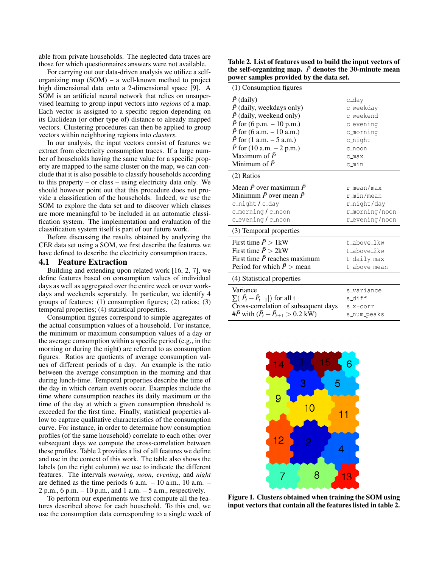able from private households. The neglected data traces are those for which questionnaires answers were not available.

For carrying out our data-driven analysis we utilize a selforganizing map (SOM) – a well-known method to project high dimensional data onto a 2-dimensional space [9]. A SOM is an artificial neural network that relies on unsupervised learning to group input vectors into *regions* of a map. Each vector is assigned to a specific region depending on its Euclidean (or other type of) distance to already mapped vectors. Clustering procedures can then be applied to group vectors within neighboring regions into *clusters*.

In our analysis, the input vectors consist of features we extract from electricity consumption traces. If a large number of households having the same value for a specific property are mapped to the same cluster on the map, we can conclude that it is also possible to classify households according to this property – or class – using electricity data only. We should however point out that this procedure does not provide a classification of the households. Indeed, we use the SOM to explore the data set and to discover which classes are more meaningful to be included in an automatic classification system. The implementation and evaluation of the classification system itself is part of our future work.

Before discussing the results obtained by analyzing the CER data set using a SOM, we first describe the features we have defined to describe the electricity consumption traces.

## 4.1 Feature Extraction

Building and extending upon related work [16, 2, 7], we define features based on consumption values of individual days as well as aggregated over the entire week or over workdays and weekends separately. In particular, we identify 4 groups of features: (1) consumption figures; (2) ratios; (3) temporal properties; (4) statistical properties.

Consumption figures correspond to simple aggregates of the actual consumption values of a household. For instance, the minimum or maximum consumption values of a day or the average consumption within a specific period (e.g., in the morning or during the night) are referred to as consumption figures. Ratios are quotients of average consumption values of different periods of a day. An example is the ratio between the average consumption in the morning and that during lunch-time. Temporal properties describe the time of the day in which certain events occur. Examples include the time where consumption reaches its daily maximum or the time of the day at which a given consumption threshold is exceeded for the first time. Finally, statistical properties allow to capture qualitative characteristics of the consumption curve. For instance, in order to determine how consumption profiles (of the same household) correlate to each other over subsequent days we compute the cross-correlation between these profiles. Table 2 provides a list of all features we define and use in the context of this work. The table also shows the labels (on the right column) we use to indicate the different features. The intervals *morning*, *noon*, *evening*, and *night* are defined as the time periods  $6$  a.m.  $-10$  a.m.,  $10$  a.m.  $-$ 2 p.m., 6 p.m.  $-10$  p.m., and 1 a.m.  $-5$  a.m., respectively.

To perform our experiments we first compute all the features described above for each household. To this end, we use the consumption data corresponding to a single week of

Table 2. List of features used to build the input vectors of the self-organizing map.  $\bar{P}$  denotes the 30-minute mean power samples provided by the data set.

| (1) Consumption figures                                    |                |
|------------------------------------------------------------|----------------|
| $P$ (daily)                                                | c_day          |
| $\bar{P}$ (daily, weekdays only)                           | c_weekday      |
| $\overline{P}$ (daily, weekend only)                       | c_weekend      |
| $\bar{P}$ for (6 p.m. – 10 p.m.)                           | c_evening      |
| $\bar{P}$ for (6 a.m. – 10 a.m.)                           | c_morning      |
| $\bar{P}$ for (1 a.m. $-5$ a.m.)                           | c_night        |
| $\bar{P}$ for (10 a.m. – 2 p.m.)                           | c_noon         |
| Maximum of $\bar{P}$                                       | c_max          |
| Minimum of $\bar{P}$                                       | c_min          |
| (2) Ratios                                                 |                |
| Mean $\bar{P}$ over maximum $\bar{P}$                      | r_mean/max     |
| Minimum $\bar{P}$ over mean $\bar{P}$                      | r_min/mean     |
| c_night / c_day                                            | r_night/day    |
| c_morning/c_noon                                           | r_morning/noon |
| c_evening / c_noon                                         | r_evening/noon |
| (3) Temporal properties                                    |                |
| First time $\bar{P} > 1$ kW                                | t_above_1kw    |
| First time $\bar{P} > 2kW$                                 | t_above_2kw    |
| First time $\bar{P}$ reaches maximum                       | t_daily_max    |
| Period for which $\bar{P}$ > mean                          | t_above_mean   |
| (4) Statistical properties                                 |                |
| Variance                                                   | s_variance     |
| $\sum ( \bar{P}_t - \bar{P}_{t-1} )$ for all t             | s_diff         |
| Cross-correlation of subsequent days                       | s_x-corr       |
| # $\bar{P}$ with $(\bar{P}_t - \bar{P}_{t\pm 1} > 0.2$ kW) | s_num_peaks    |



Figure 1. Clusters obtained when training the SOM using input vectors that contain all the features listed in table 2.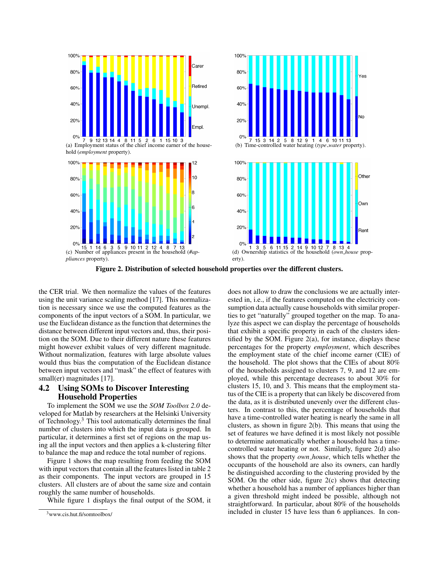

hold (*employment* property).





Figure 2. Distribution of selected household properties over the different clusters.

the CER trial. We then normalize the values of the features using the unit variance scaling method [17]. This normalization is necessary since we use the computed features as the components of the input vectors of a SOM. In particular, we use the Euclidean distance as the function that determines the distance between different input vectors and, thus, their position on the SOM. Due to their different nature these features might however exhibit values of very different magnitude. Without normalization, features with large absolute values would thus bias the computation of the Euclidean distance between input vectors and "mask" the effect of features with small(er) magnitudes [17].

# 4.2 Using SOMs to Discover Interesting Household Properties

To implement the SOM we use the *SOM Toolbox 2.0* developed for Matlab by researchers at the Helsinki University of Technology.<sup>3</sup> This tool automatically determines the final number of clusters into which the input data is grouped. In particular, it determines a first set of regions on the map using all the input vectors and then applies a k-clustering filter to balance the map and reduce the total number of regions.

Figure 1 shows the map resulting from feeding the SOM with input vectors that contain all the features listed in table 2 as their components. The input vectors are grouped in 15 clusters. All clusters are of about the same size and contain roughly the same number of households.

While figure 1 displays the final output of the SOM, it

does not allow to draw the conclusions we are actually interested in, i.e., if the features computed on the electricity consumption data actually cause households with similar properties to get "naturally" grouped together on the map. To analyze this aspect we can display the percentage of households that exhibit a specific property in each of the clusters identified by the SOM. Figure 2(a), for instance, displays these percentages for the property *employment*, which describes the employment state of the chief income earner (CIE) of the household. The plot shows that the CIEs of about 80% of the households assigned to clusters 7, 9, and 12 are employed, while this percentage decreases to about 30% for clusters 15, 10, and 3. This means that the employment status of the CIE is a property that can likely be discovered from the data, as it is distributed unevenly over the different clusters. In contrast to this, the percentage of households that have a time-controlled water heating is nearly the same in all clusters, as shown in figure 2(b). This means that using the set of features we have defined it is most likely not possible to determine automatically whether a household has a timecontrolled water heating or not. Similarly, figure 2(d) also shows that the property *own house*, which tells whether the occupants of the household are also its owners, can hardly be distinguished according to the clustering provided by the SOM. On the other side, figure 2(c) shows that detecting whether a household has a number of appliances higher than a given threshold might indeed be possible, although not straightforward. In particular, about 80% of the households included in cluster 15 have less than 6 appliances. In con-

<sup>3</sup>www.cis.hut.fi/somtoolbox/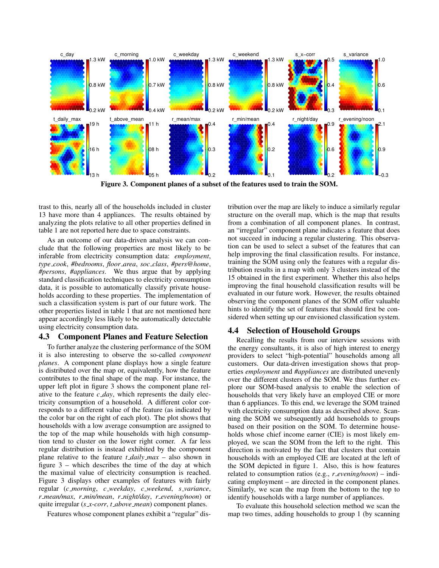

Figure 3. Component planes of a subset of the features used to train the SOM.

trast to this, nearly all of the households included in cluster 13 have more than 4 appliances. The results obtained by analyzing the plots relative to all other properties defined in table 1 are not reported here due to space constraints.

As an outcome of our data-driven analysis we can conclude that the following properties are most likely to be inferable from electricity consumption data: *employment*, *type cook*, *#bedrooms*, *floor area*, *soc class*, *#pers@home*, *#persons*, *#appliances*. We thus argue that by applying standard classification techniques to electricity consumption data, it is possible to automatically classify private households according to these properties. The implementation of such a classification system is part of our future work. The other properties listed in table 1 that are not mentioned here appear accordingly less likely to be automatically detectable using electricity consumption data.

## 4.3 Component Planes and Feature Selection

To further analyze the clustering performance of the SOM it is also interesting to observe the so-called *component planes*. A component plane displays how a single feature is distributed over the map or, equivalently, how the feature contributes to the final shape of the map. For instance, the upper left plot in figure 3 shows the component plane relative to the feature *c day*, which represents the daily electricity consumption of a household. A different color corresponds to a different value of the feature (as indicated by the color bar on the right of each plot). The plot shows that households with a low average consumption are assigned to the top of the map while households with high consumption tend to cluster on the lower right corner. A far less regular distribution is instead exhibited by the component plane relative to the feature *t daily max* – also shown in figure 3 – which describes the time of the day at which the maximal value of electricity consumption is reached. Figure 3 displays other examples of features with fairly regular (*c morning*, *c weekday*, *c weekend*, *s variance*, *r mean/max*, *r min/mean*, *r night/day*, *r evening/noon*) or quite irregular (*s x-corr*, *t above mean*) component planes.

Features whose component planes exhibit a "regular" dis-

tribution over the map are likely to induce a similarly regular structure on the overall map, which is the map that results from a combination of all component planes. In contrast, an "irregular" component plane indicates a feature that does not succeed in inducing a regular clustering. This observation can be used to select a subset of the features that can help improving the final classification results. For instance, training the SOM using only the features with a regular distribution results in a map with only 3 clusters instead of the 15 obtained in the first experiment. Whether this also helps improving the final household classification results will be evaluated in our future work. However, the results obtained observing the component planes of the SOM offer valuable hints to identify the set of features that should first be considered when setting up our envisioned classification system.

## 4.4 Selection of Household Groups

Recalling the results from our interview sessions with the energy consultants, it is also of high interest to energy providers to select "high-potential" households among all customers. Our data-driven investigation shows that properties *employment* and *#appliances* are distributed unevenly over the different clusters of the SOM. We thus further explore our SOM-based analysis to enable the selection of households that very likely have an employed CIE or more than 6 appliances. To this end, we leverage the SOM trained with electricity consumption data as described above. Scanning the SOM we subsequently add households to groups based on their position on the SOM. To determine households whose chief income earner (CIE) is most likely employed, we scan the SOM from the left to the right. This direction is motivated by the fact that clusters that contain households with an employed CIE are located at the left of the SOM depicted in figure 1. Also, this is how features related to consumption ratios (e.g., *r evening/noon*) – indicating employment – are directed in the component planes. Similarly, we scan the map from the bottom to the top to identify households with a large number of appliances.

To evaluate this household selection method we scan the map two times, adding households to group 1 (by scanning